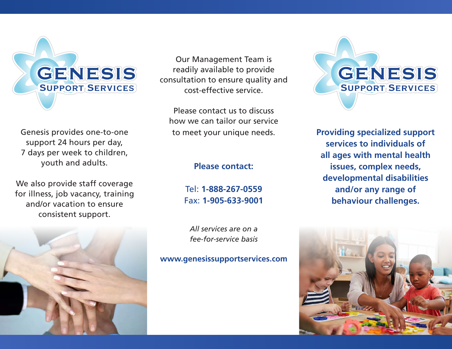

Genesis provides one-to-one support 24 hours per day, 7 days per week to children, youth and adults.

We also provide staff coverage for illness, job vacancy, training and/or vacation to ensure consistent support.



Our Management Team is readily available to provide consultation to ensure quality and cost-effective service.

Please contact us to discuss how we can tailor our service to meet your unique needs.

#### **Please contact:**

Tel: **1-888-267-0559** Fax: **1-905-633-9001**

*All services are on a fee-for-service basis*

#### **www.genesissupportservices.com**



**Providing specialized support services to individuals of all ages with mental health issues, complex needs, developmental disabilities and/or any range of behaviour challenges.**